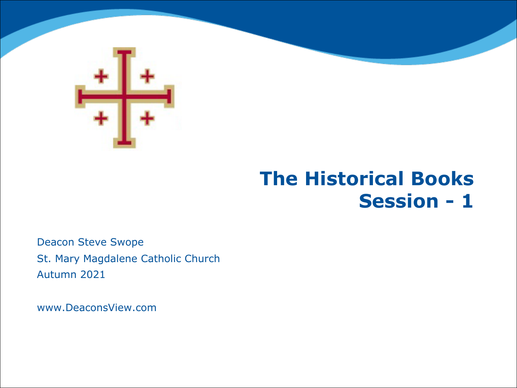

# **The Historical Books Session - 1**

Deacon Steve Swope St. Mary Magdalene Catholic Church Autumn 2021

www.DeaconsView.com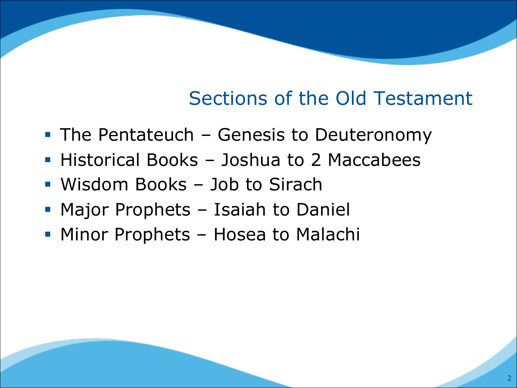# Sections of the Old Testament

- The Pentateuch Genesis to Deuteronomy
- Historical Books Joshua to 2 Maccabees
- Wisdom Books Job to Sirach
- Major Prophets Isaiah to Daniel
- Minor Prophets Hosea to Malachi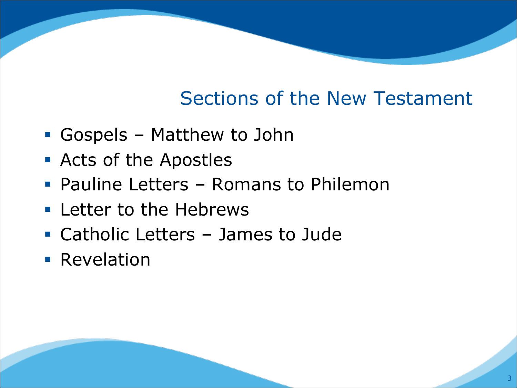# Sections of the New Testament

- § Gospels Matthew to John
- Acts of the Apostles
- Pauline Letters Romans to Philemon
- **Earth** Letter to the Hebrews
- § Catholic Letters James to Jude
- **Revelation**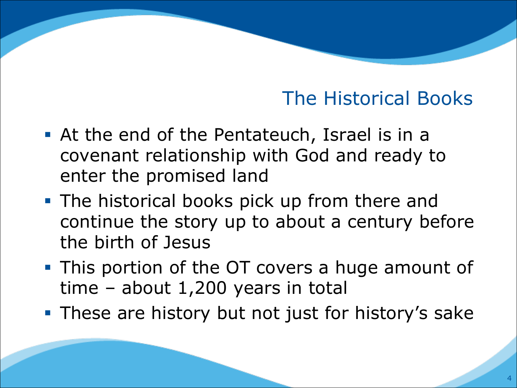- § At the end of the Pentateuch, Israel is in a covenant relationship with God and ready to enter the promised land
- The historical books pick up from there and continue the story up to about a century before the birth of Jesus
- **This portion of the OT covers a huge amount of** time – about 1,200 years in total
- **These are history but not just for history's sake**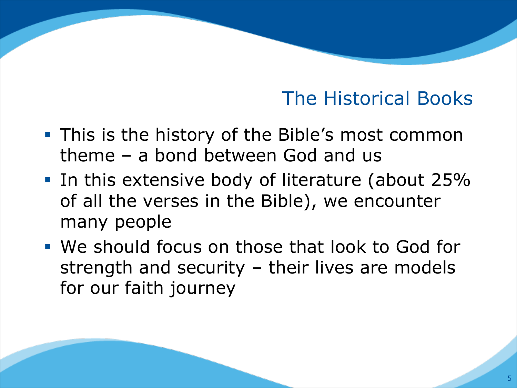- **This is the history of the Bible's most common** theme – a bond between God and us
- § In this extensive body of literature (about 25% of all the verses in the Bible), we encounter many people
- § We should focus on those that look to God for strength and security – their lives are models for our faith journey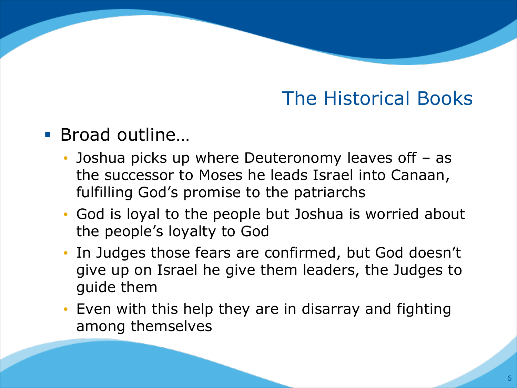#### § Broad outline…

- Joshua picks up where Deuteronomy leaves off as the successor to Moses he leads Israel into Canaan, fulfilling God's promise to the patriarchs
- God is loyal to the people but Joshua is worried about the people's loyalty to God
- In Judges those fears are confirmed, but God doesn't give up on Israel he give them leaders, the Judges to guide them
- Even with this help they are in disarray and fighting among themselves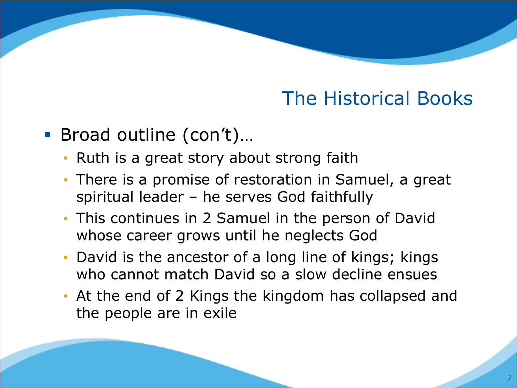- Broad outline (con't)...
	- Ruth is a great story about strong faith
	- There is a promise of restoration in Samuel, a great spiritual leader – he serves God faithfully
	- This continues in 2 Samuel in the person of David whose career grows until he neglects God
	- David is the ancestor of a long line of kings; kings who cannot match David so a slow decline ensues
	- At the end of 2 Kings the kingdom has collapsed and the people are in exile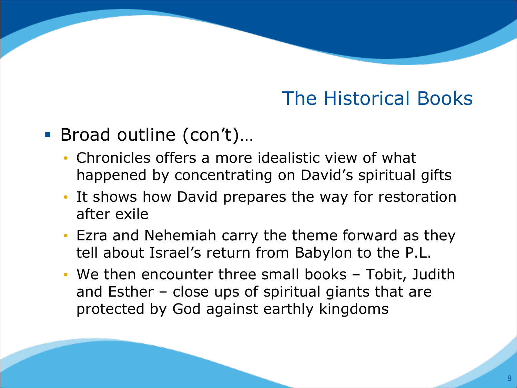- Broad outline (con't)...
	- Chronicles offers a more idealistic view of what happened by concentrating on David's spiritual gifts
	- It shows how David prepares the way for restoration after exile
	- Ezra and Nehemiah carry the theme forward as they tell about Israel's return from Babylon to the P.L.
	- We then encounter three small books Tobit, Judith and Esther – close ups of spiritual giants that are protected by God against earthly kingdoms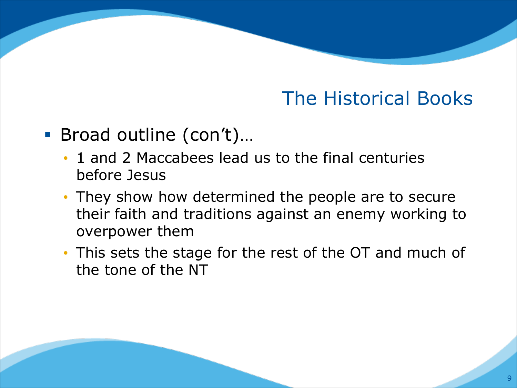- Broad outline (con't)...
	- 1 and 2 Maccabees lead us to the final centuries before Jesus
	- They show how determined the people are to secure their faith and traditions against an enemy working to overpower them
	- This sets the stage for the rest of the OT and much of the tone of the NT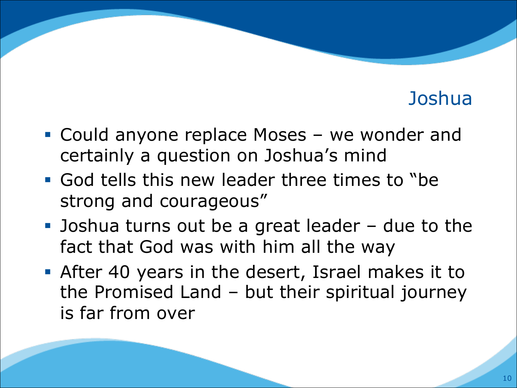- Could anyone replace Moses we wonder and certainly a question on Joshua's mind
- § God tells this new leader three times to "be strong and courageous"
- Joshua turns out be a great leader due to the fact that God was with him all the way
- § After 40 years in the desert, Israel makes it to the Promised Land – but their spiritual journey is far from over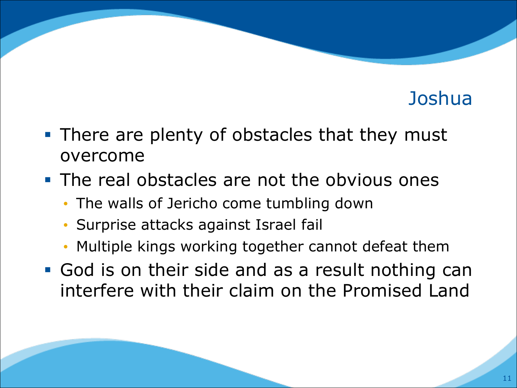- There are plenty of obstacles that they must overcome
- The real obstacles are not the obvious ones
	- The walls of Jericho come tumbling down
	- Surprise attacks against Israel fail
	- Multiple kings working together cannot defeat them
- God is on their side and as a result nothing can interfere with their claim on the Promised Land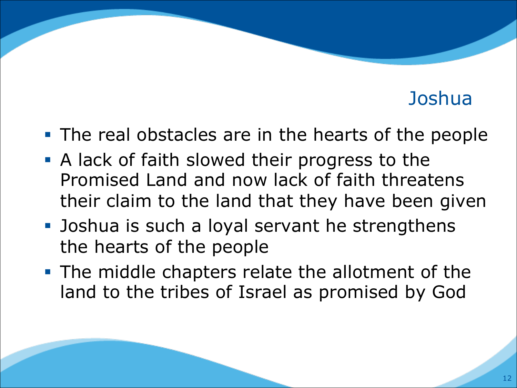- The real obstacles are in the hearts of the people
- **A lack of faith slowed their progress to the** Promised Land and now lack of faith threatens their claim to the land that they have been given
- Joshua is such a loyal servant he strengthens the hearts of the people
- The middle chapters relate the allotment of the land to the tribes of Israel as promised by God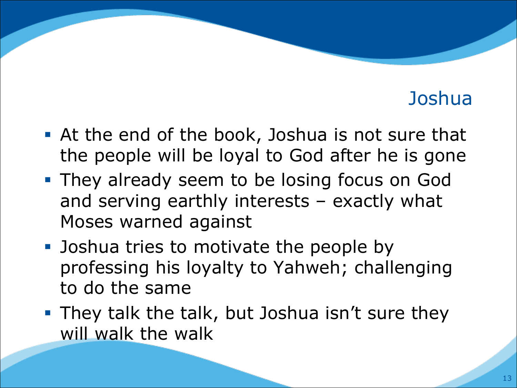- At the end of the book, Joshua is not sure that the people will be loyal to God after he is gone
- **They already seem to be losing focus on God** and serving earthly interests – exactly what Moses warned against
- Joshua tries to motivate the people by professing his loyalty to Yahweh; challenging to do the same
- **They talk the talk, but Joshua isn't sure they** will walk the walk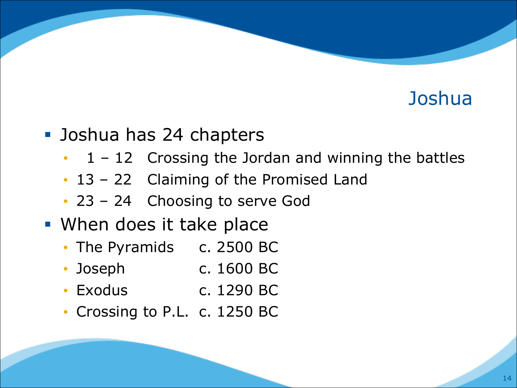- Joshua has 24 chapters
	- $\cdot$  1 12 Crossing the Jordan and winning the battles
	- 13 22 Claiming of the Promised Land
	- 23 24 Choosing to serve God
- When does it take place
	- The Pyramids c. 2500 BC
	- Joseph c. 1600 BC
	- Exodus c. 1290 BC
	- Crossing to P.L. c. 1250 BC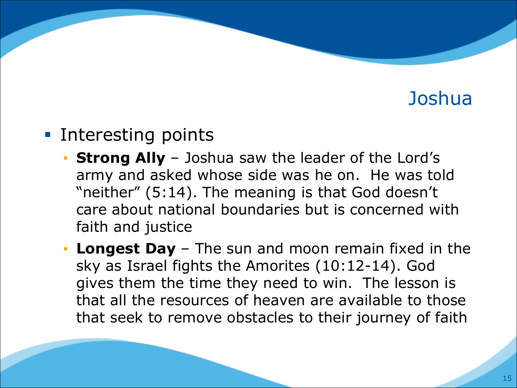#### ■ Interesting points

- **Strong Ally**  Joshua saw the leader of the Lord's army and asked whose side was he on. He was told "neither" (5:14). The meaning is that God doesn't care about national boundaries but is concerned with faith and justice
- **Longest Day**  The sun and moon remain fixed in the sky as Israel fights the Amorites (10:12-14). God gives them the time they need to win. The lesson is that all the resources of heaven are available to those that seek to remove obstacles to their journey of faith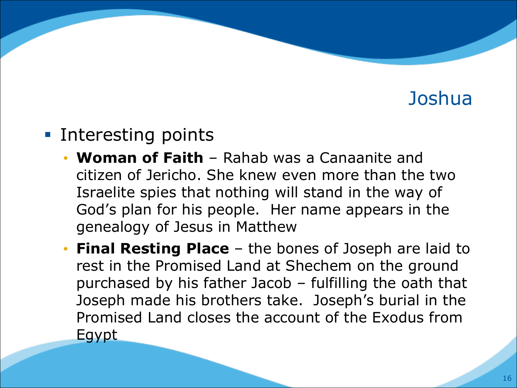#### ■ Interesting points

- **Woman of Faith**  Rahab was a Canaanite and citizen of Jericho. She knew even more than the two Israelite spies that nothing will stand in the way of God's plan for his people. Her name appears in the genealogy of Jesus in Matthew
- **Final Resting Place**  the bones of Joseph are laid to rest in the Promised Land at Shechem on the ground purchased by his father Jacob – fulfilling the oath that Joseph made his brothers take. Joseph's burial in the Promised Land closes the account of the Exodus from Egypt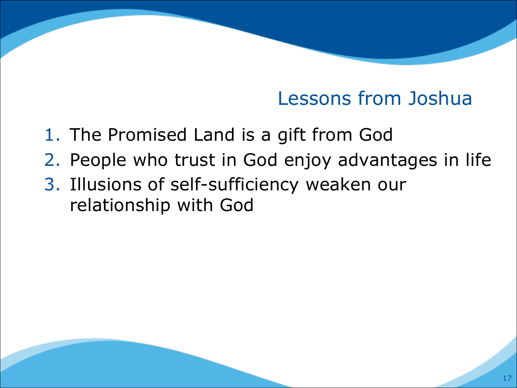### Lessons from Joshua

- 1. The Promised Land is a gift from God
- 2. People who trust in God enjoy advantages in life
- 3. Illusions of self-sufficiency weaken our relationship with God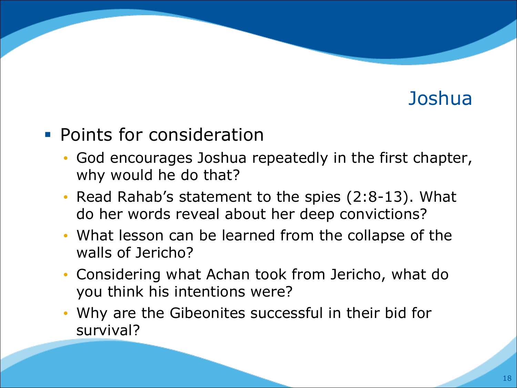#### **• Points for consideration**

- God encourages Joshua repeatedly in the first chapter, why would he do that?
- Read Rahab's statement to the spies (2:8-13). What do her words reveal about her deep convictions?
- What lesson can be learned from the collapse of the walls of Jericho?
- Considering what Achan took from Jericho, what do you think his intentions were?
- Why are the Gibeonites successful in their bid for survival?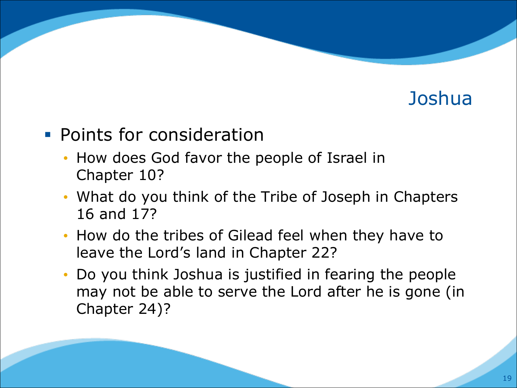#### **• Points for consideration**

- How does God favor the people of Israel in Chapter 10?
- What do you think of the Tribe of Joseph in Chapters 16 and 17?
- How do the tribes of Gilead feel when they have to leave the Lord's land in Chapter 22?
- Do you think Joshua is justified in fearing the people may not be able to serve the Lord after he is gone (in Chapter 24)?